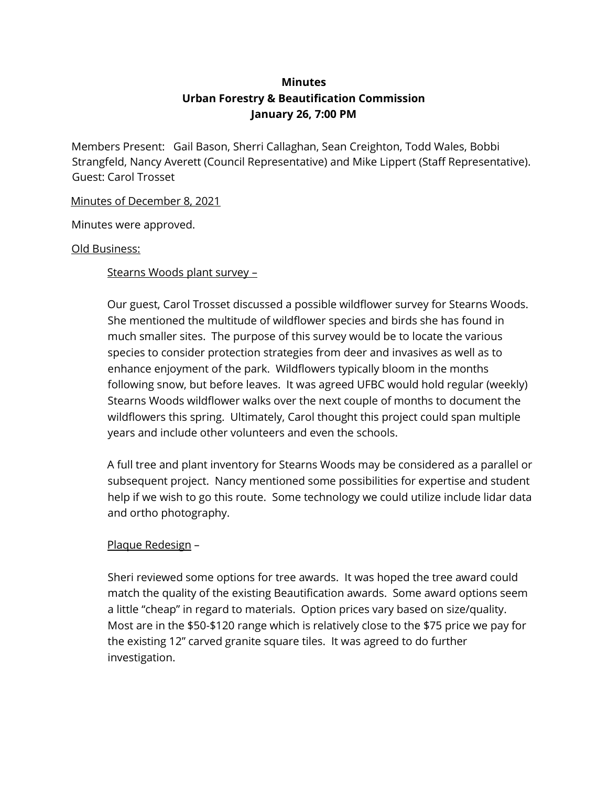# **Minutes Urban Forestry & Beautification Commission January 26, 7:00 PM**

Members Present: Gail Bason, Sherri Callaghan, Sean Creighton, Todd Wales, Bobbi Strangfeld, Nancy Averett (Council Representative) and Mike Lippert (Staff Representative). Guest: Carol Trosset

Minutes of December 8, 2021

Minutes were approved.

#### Old Business:

Stearns Woods plant survey –

Our guest, Carol Trosset discussed a possible wildflower survey for Stearns Woods. She mentioned the multitude of wildflower species and birds she has found in much smaller sites. The purpose of this survey would be to locate the various species to consider protection strategies from deer and invasives as well as to enhance enjoyment of the park. Wildflowers typically bloom in the months following snow, but before leaves. It was agreed UFBC would hold regular (weekly) Stearns Woods wildflower walks over the next couple of months to document the wildflowers this spring. Ultimately, Carol thought this project could span multiple years and include other volunteers and even the schools.

A full tree and plant inventory for Stearns Woods may be considered as a parallel or subsequent project. Nancy mentioned some possibilities for expertise and student help if we wish to go this route. Some technology we could utilize include lidar data and ortho photography.

## Plaque Redesign –

Sheri reviewed some options for tree awards. It was hoped the tree award could match the quality of the existing Beautification awards. Some award options seem a little "cheap" in regard to materials. Option prices vary based on size/quality. Most are in the \$50-\$120 range which is relatively close to the \$75 price we pay for the existing 12" carved granite square tiles. It was agreed to do further investigation.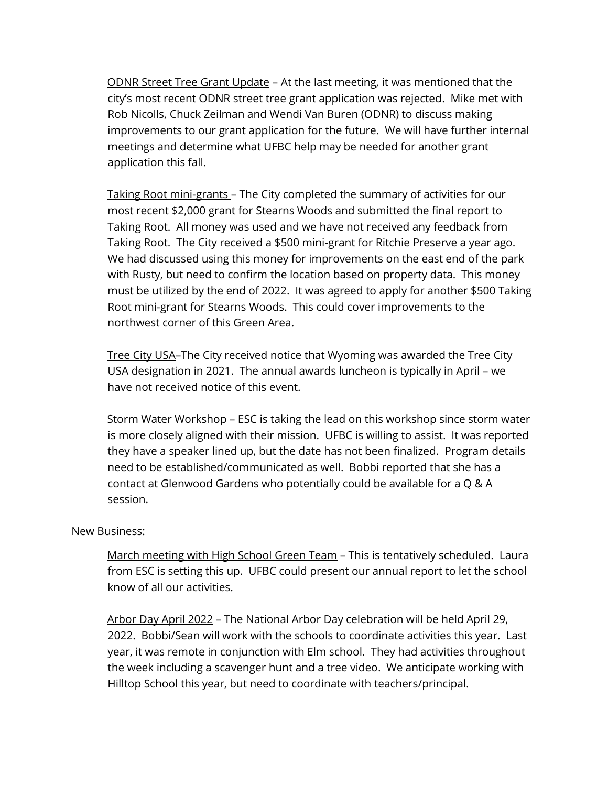ODNR Street Tree Grant Update – At the last meeting, it was mentioned that the city's most recent ODNR street tree grant application was rejected. Mike met with Rob Nicolls, Chuck Zeilman and Wendi Van Buren (ODNR) to discuss making improvements to our grant application for the future. We will have further internal meetings and determine what UFBC help may be needed for another grant application this fall.

Taking Root mini-grants – The City completed the summary of activities for our most recent \$2,000 grant for Stearns Woods and submitted the final report to Taking Root. All money was used and we have not received any feedback from Taking Root. The City received a \$500 mini-grant for Ritchie Preserve a year ago. We had discussed using this money for improvements on the east end of the park with Rusty, but need to confirm the location based on property data. This money must be utilized by the end of 2022. It was agreed to apply for another \$500 Taking Root mini-grant for Stearns Woods. This could cover improvements to the northwest corner of this Green Area.

Tree City USA–The City received notice that Wyoming was awarded the Tree City USA designation in 2021. The annual awards luncheon is typically in April – we have not received notice of this event.

Storm Water Workshop – ESC is taking the lead on this workshop since storm water is more closely aligned with their mission. UFBC is willing to assist. It was reported they have a speaker lined up, but the date has not been finalized. Program details need to be established/communicated as well. Bobbi reported that she has a contact at Glenwood Gardens who potentially could be available for a Q & A session.

#### New Business:

March meeting with High School Green Team – This is tentatively scheduled. Laura from ESC is setting this up. UFBC could present our annual report to let the school know of all our activities.

Arbor Day April 2022 – The National Arbor Day celebration will be held April 29, 2022. Bobbi/Sean will work with the schools to coordinate activities this year. Last year, it was remote in conjunction with Elm school. They had activities throughout the week including a scavenger hunt and a tree video. We anticipate working with Hilltop School this year, but need to coordinate with teachers/principal.